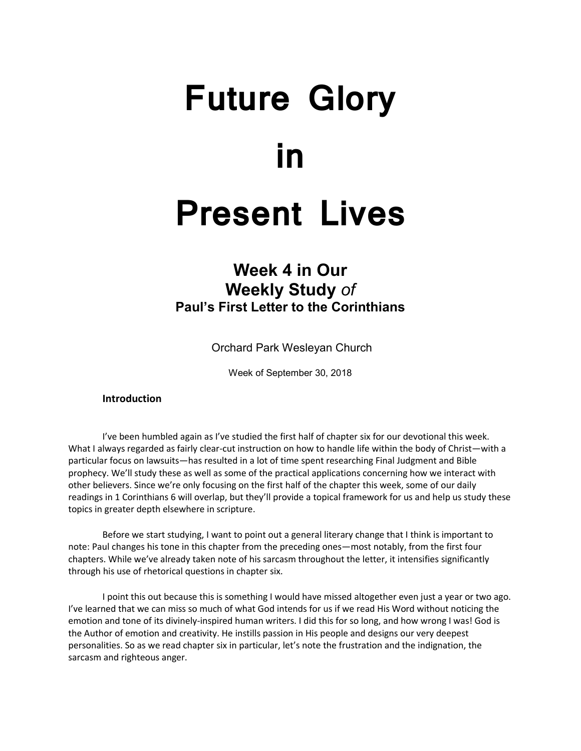# **Future Glory in Present Lives**

# **Week 4 in Our Weekly Study** *of* **Paul's First Letter to the Corinthians**

Orchard Park Wesleyan Church

Week of September 30, 2018

# **Introduction**

I've been humbled again as I've studied the first half of chapter six for our devotional this week. What I always regarded as fairly clear-cut instruction on how to handle life within the body of Christ—with a particular focus on lawsuits—has resulted in a lot of time spent researching Final Judgment and Bible prophecy. We'll study these as well as some of the practical applications concerning how we interact with other believers. Since we're only focusing on the first half of the chapter this week, some of our daily readings in 1 Corinthians 6 will overlap, but they'll provide a topical framework for us and help us study these topics in greater depth elsewhere in scripture.

Before we start studying, I want to point out a general literary change that I think is important to note: Paul changes his tone in this chapter from the preceding ones—most notably, from the first four chapters. While we've already taken note of his sarcasm throughout the letter, it intensifies significantly through his use of rhetorical questions in chapter six.

I point this out because this is something I would have missed altogether even just a year or two ago. I've learned that we can miss so much of what God intends for us if we read His Word without noticing the emotion and tone of its divinely-inspired human writers. I did this for so long, and how wrong I was! God is the Author of emotion and creativity. He instills passion in His people and designs our very deepest personalities. So as we read chapter six in particular, let's note the frustration and the indignation, the sarcasm and righteous anger.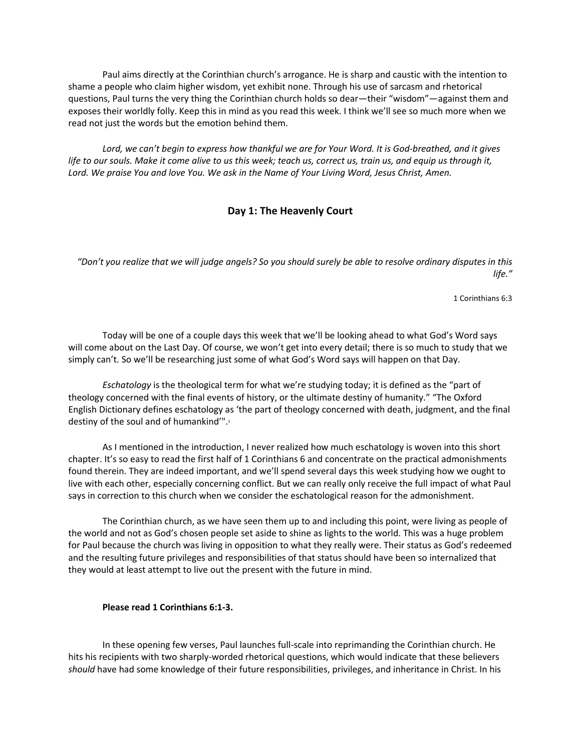Paul aims directly at the Corinthian church's arrogance. He is sharp and caustic with the intention to shame a people who claim higher wisdom, yet exhibit none. Through his use of sarcasm and rhetorical questions, Paul turns the very thing the Corinthian church holds so dear—their "wisdom"—against them and exposes their worldly folly. Keep this in mind as you read this week. I think we'll see so much more when we read not just the words but the emotion behind them.

*Lord, we can't begin to express how thankful we are for Your Word. It is God-breathed, and it gives life to our souls. Make it come alive to us this week; teach us, correct us, train us, and equip us through it, Lord. We praise You and love You. We ask in the Name of Your Living Word, Jesus Christ, Amen.*

# **Day 1: The Heavenly Court**

*"Don't you realize that we will judge angels? So you should surely be able to resolve ordinary disputes in this life."*

1 Corinthians 6:3

Today will be one of a couple days this week that we'll be looking ahead to what God's Word says will come about on the Last Day. Of course, we won't get into every detail; there is so much to study that we simply can't. So we'll be researching just some of what God's Word says will happen on that Day.

*Eschatology* is the theological term for what we're studying today; it is defined as the "part of theology concerned with the final events of history, or the ultimate destiny of humanity." "The Oxford English Dictionary defines eschatology as 'the part of theology concerned with death, judgment, and the final destiny of the soul and of humankind'". 1

As I mentioned in the introduction, I never realized how much eschatology is woven into this short chapter. It's so easy to read the first half of 1 Corinthians 6 and concentrate on the practical admonishments found therein. They are indeed important, and we'll spend several days this week studying how we ought to live with each other, especially concerning conflict. But we can really only receive the full impact of what Paul says in correction to this church when we consider the eschatological reason for the admonishment.

The Corinthian church, as we have seen them up to and including this point, were living as people of the world and not as God's chosen people set aside to shine as lights to the world. This was a huge problem for Paul because the church was living in opposition to what they really were. Their status as God's redeemed and the resulting future privileges and responsibilities of that status should have been so internalized that they would at least attempt to live out the present with the future in mind.

#### **Please read 1 Corinthians 6:1-3.**

In these opening few verses, Paul launches full-scale into reprimanding the Corinthian church. He hits his recipients with two sharply-worded rhetorical questions, which would indicate that these believers *should* have had some knowledge of their future responsibilities, privileges, and inheritance in Christ. In his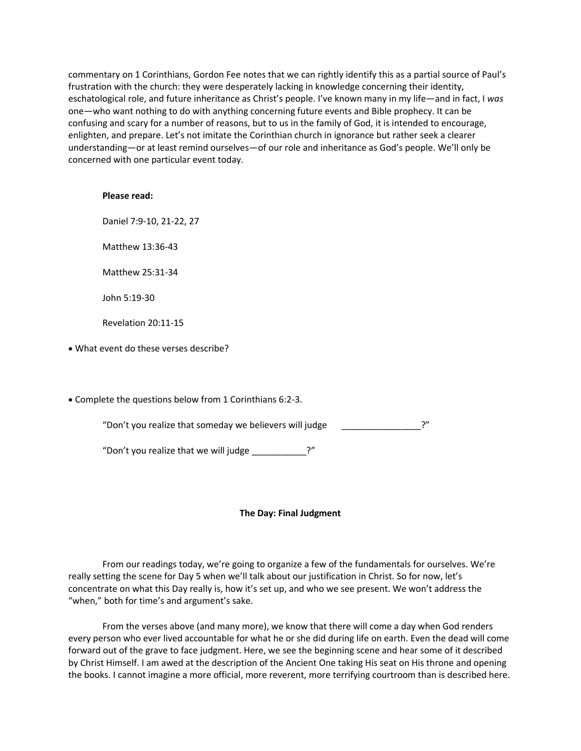commentary on 1 Corinthians, Gordon Fee notes that we can rightly identify this as a partial source of Paul's frustration with the church: they were desperately lacking in knowledge concerning their identity, eschatological role, and future inheritance as Christ's people. I've known many in my life—and in fact, I *was* one—who want nothing to do with anything concerning future events and Bible prophecy. It can be confusing and scary for a number of reasons, but to us in the family of God, it is intended to encourage, enlighten, and prepare. Let's not imitate the Corinthian church in ignorance but rather seek a clearer understanding—or at least remind ourselves—of our role and inheritance as God's people. We'll only be concerned with one particular event today.

#### **Please read:**

Daniel 7:9-10, 21-22, 27

Matthew 13:36-43

Matthew 25:31-34

John 5:19-30

Revelation 20:11-15

• What event do these verses describe?

• Complete the questions below from 1 Corinthians 6:2-3.

"Don't you realize that someday we believers will judge \_\_\_\_\_\_\_\_\_\_\_\_\_\_\_\_?"

"Don't you realize that we will judge \_\_\_\_\_\_\_\_\_\_\_?"

#### **The Day: Final Judgment**

From our readings today, we're going to organize a few of the fundamentals for ourselves. We're really setting the scene for Day 5 when we'll talk about our justification in Christ. So for now, let's concentrate on what this Day really is, how it's set up, and who we see present. We won't address the "when," both for time's and argument's sake.

From the verses above (and many more), we know that there will come a day when God renders every person who ever lived accountable for what he or she did during life on earth. Even the dead will come forward out of the grave to face judgment. Here, we see the beginning scene and hear some of it described by Christ Himself. I am awed at the description of the Ancient One taking His seat on His throne and opening the books. I cannot imagine a more official, more reverent, more terrifying courtroom than is described here.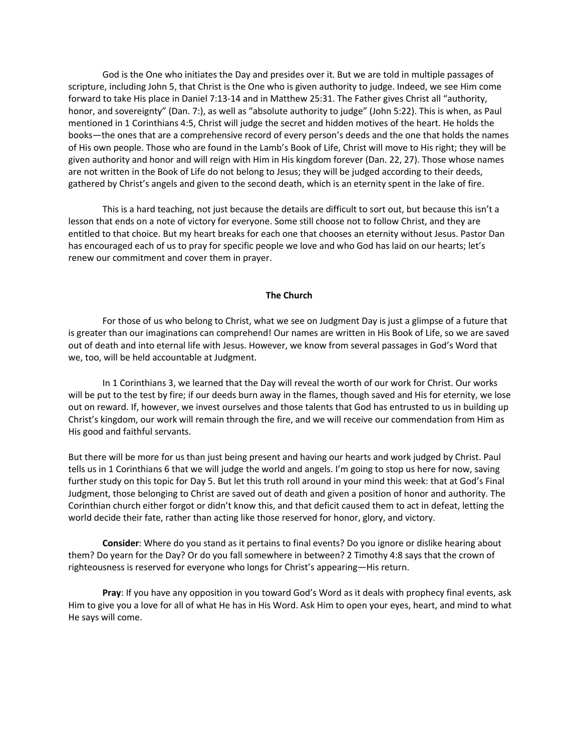God is the One who initiates the Day and presides over it. But we are told in multiple passages of scripture, including John 5, that Christ is the One who is given authority to judge. Indeed, we see Him come forward to take His place in Daniel 7:13-14 and in Matthew 25:31. The Father gives Christ all "authority, honor, and sovereignty" (Dan. 7:), as well as "absolute authority to judge" (John 5:22). This is when, as Paul mentioned in 1 Corinthians 4:5, Christ will judge the secret and hidden motives of the heart. He holds the books—the ones that are a comprehensive record of every person's deeds and the one that holds the names of His own people. Those who are found in the Lamb's Book of Life, Christ will move to His right; they will be given authority and honor and will reign with Him in His kingdom forever (Dan. 22, 27). Those whose names are not written in the Book of Life do not belong to Jesus; they will be judged according to their deeds, gathered by Christ's angels and given to the second death, which is an eternity spent in the lake of fire.

This is a hard teaching, not just because the details are difficult to sort out, but because this isn't a lesson that ends on a note of victory for everyone. Some still choose not to follow Christ, and they are entitled to that choice. But my heart breaks for each one that chooses an eternity without Jesus. Pastor Dan has encouraged each of us to pray for specific people we love and who God has laid on our hearts; let's renew our commitment and cover them in prayer.

#### **The Church**

For those of us who belong to Christ, what we see on Judgment Day is just a glimpse of a future that is greater than our imaginations can comprehend! Our names are written in His Book of Life, so we are saved out of death and into eternal life with Jesus. However, we know from several passages in God's Word that we, too, will be held accountable at Judgment.

In 1 Corinthians 3, we learned that the Day will reveal the worth of our work for Christ. Our works will be put to the test by fire; if our deeds burn away in the flames, though saved and His for eternity, we lose out on reward. If, however, we invest ourselves and those talents that God has entrusted to us in building up Christ's kingdom, our work will remain through the fire, and we will receive our commendation from Him as His good and faithful servants.

But there will be more for us than just being present and having our hearts and work judged by Christ. Paul tells us in 1 Corinthians 6 that we will judge the world and angels. I'm going to stop us here for now, saving further study on this topic for Day 5. But let this truth roll around in your mind this week: that at God's Final Judgment, those belonging to Christ are saved out of death and given a position of honor and authority. The Corinthian church either forgot or didn't know this, and that deficit caused them to act in defeat, letting the world decide their fate, rather than acting like those reserved for honor, glory, and victory.

**Consider**: Where do you stand as it pertains to final events? Do you ignore or dislike hearing about them? Do yearn for the Day? Or do you fall somewhere in between? 2 Timothy 4:8 says that the crown of righteousness is reserved for everyone who longs for Christ's appearing—His return.

**Pray**: If you have any opposition in you toward God's Word as it deals with prophecy final events, ask Him to give you a love for all of what He has in His Word. Ask Him to open your eyes, heart, and mind to what He says will come.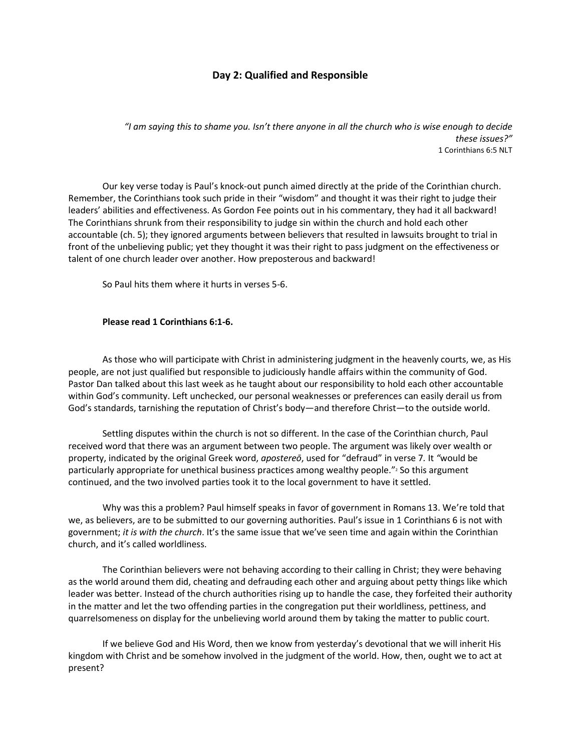# **Day 2: Qualified and Responsible**

*"I am saying this to shame you. Isn't there anyone in all the church who is wise enough to decide these issues?"* 1 Corinthians 6:5 NLT

Our key verse today is Paul's knock-out punch aimed directly at the pride of the Corinthian church. Remember, the Corinthians took such pride in their "wisdom" and thought it was their right to judge their leaders' abilities and effectiveness. As Gordon Fee points out in his commentary, they had it all backward! The Corinthians shrunk from their responsibility to judge sin within the church and hold each other accountable (ch. 5); they ignored arguments between believers that resulted in lawsuits brought to trial in front of the unbelieving public; yet they thought it was their right to pass judgment on the effectiveness or talent of one church leader over another. How preposterous and backward!

So Paul hits them where it hurts in verses 5-6.

#### **Please read 1 Corinthians 6:1-6.**

As those who will participate with Christ in administering judgment in the heavenly courts, we, as His people, are not just qualified but responsible to judiciously handle affairs within the community of God. Pastor Dan talked about this last week as he taught about our responsibility to hold each other accountable within God's community. Left unchecked, our personal weaknesses or preferences can easily derail us from God's standards, tarnishing the reputation of Christ's body—and therefore Christ—to the outside world.

Settling disputes within the church is not so different. In the case of the Corinthian church, Paul received word that there was an argument between two people. The argument was likely over wealth or property, indicated by the original Greek word, *apostereō*, used for "defraud" in verse 7*.* It *"*would be particularly appropriate for unethical business practices among wealthy people." $\frac{1}{2}$  So this argument continued, and the two involved parties took it to the local government to have it settled.

Why was this a problem? Paul himself speaks in favor of government in Romans 13. We're told that we, as believers, are to be submitted to our governing authorities. Paul's issue in 1 Corinthians 6 is not with government; *it is with the church*. It's the same issue that we've seen time and again within the Corinthian church, and it's called worldliness.

The Corinthian believers were not behaving according to their calling in Christ; they were behaving as the world around them did, cheating and defrauding each other and arguing about petty things like which leader was better. Instead of the church authorities rising up to handle the case, they forfeited their authority in the matter and let the two offending parties in the congregation put their worldliness, pettiness, and quarrelsomeness on display for the unbelieving world around them by taking the matter to public court.

If we believe God and His Word, then we know from yesterday's devotional that we will inherit His kingdom with Christ and be somehow involved in the judgment of the world. How, then, ought we to act at present?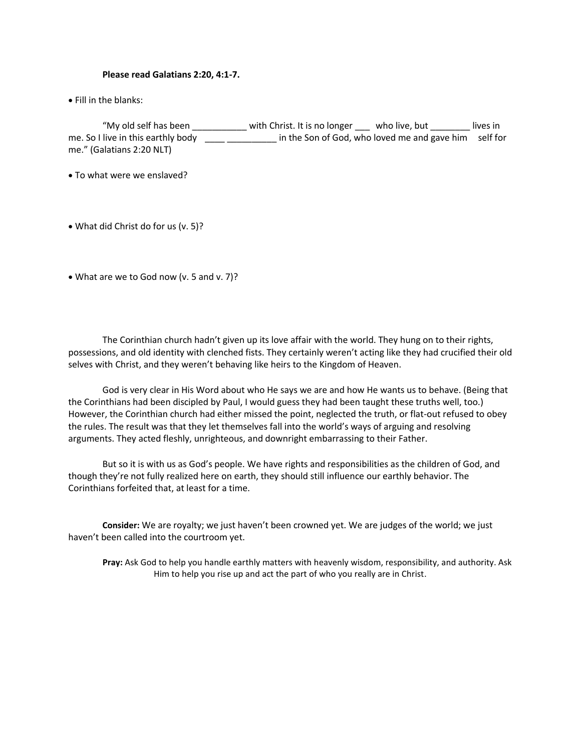#### **Please read Galatians 2:20, 4:1-7.**

• Fill in the blanks:

"My old self has been \_\_\_\_\_\_\_\_\_\_\_ with Christ. It is no longer \_\_\_ who live, but \_\_\_\_\_\_\_\_ lives in me. So I live in this earthly body \_\_\_\_ \_\_\_\_\_\_\_\_\_\_\_ in the Son of God, who loved me and gave him self for me." (Galatians 2:20 NLT)

- To what were we enslaved?
- What did Christ do for us (v. 5)?

• What are we to God now (v. 5 and v. 7)?

The Corinthian church hadn't given up its love affair with the world. They hung on to their rights, possessions, and old identity with clenched fists. They certainly weren't acting like they had crucified their old selves with Christ, and they weren't behaving like heirs to the Kingdom of Heaven.

God is very clear in His Word about who He says we are and how He wants us to behave. (Being that the Corinthians had been discipled by Paul, I would guess they had been taught these truths well, too.) However, the Corinthian church had either missed the point, neglected the truth, or flat-out refused to obey the rules. The result was that they let themselves fall into the world's ways of arguing and resolving arguments. They acted fleshly, unrighteous, and downright embarrassing to their Father.

But so it is with us as God's people. We have rights and responsibilities as the children of God, and though they're not fully realized here on earth, they should still influence our earthly behavior. The Corinthians forfeited that, at least for a time.

**Consider:** We are royalty; we just haven't been crowned yet. We are judges of the world; we just haven't been called into the courtroom yet.

**Pray:** Ask God to help you handle earthly matters with heavenly wisdom, responsibility, and authority. Ask Him to help you rise up and act the part of who you really are in Christ.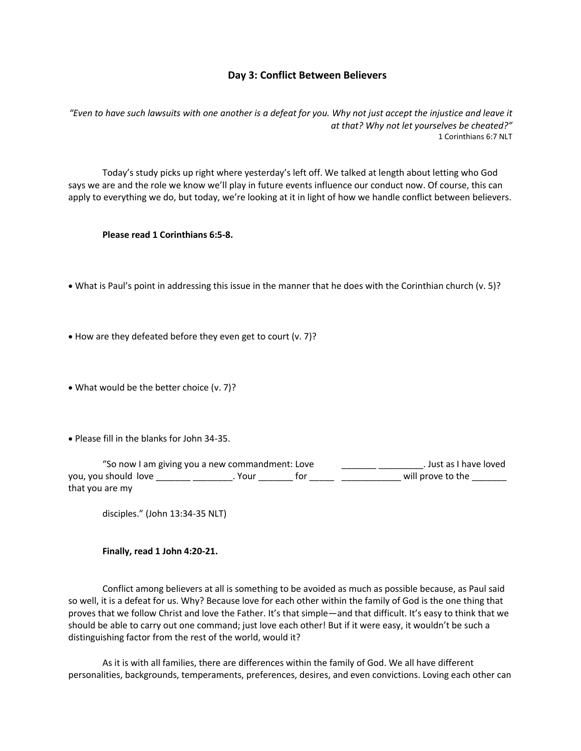# **Day 3: Conflict Between Believers**

*"Even to have such lawsuits with one another is a defeat for you. Why not just accept the injustice and leave it at that? Why not let yourselves be cheated?"* 1 Corinthians 6:7 NLT

Today's study picks up right where yesterday's left off. We talked at length about letting who God says we are and the role we know we'll play in future events influence our conduct now. Of course, this can apply to everything we do, but today, we're looking at it in light of how we handle conflict between believers.

**Please read 1 Corinthians 6:5-8.**

- What is Paul's point in addressing this issue in the manner that he does with the Corinthian church (v. 5)?
- How are they defeated before they even get to court (v. 7)?
- What would be the better choice (v. 7)?
- Please fill in the blanks for John 34-35.

| "So now I am giving you a new commandment: Love |        |     | . Just as I have loved |
|-------------------------------------------------|--------|-----|------------------------|
| you, you should love                            | . Your | tor | will prove to the      |
| that you are my                                 |        |     |                        |

disciples." (John 13:34-35 NLT)

#### **Finally, read 1 John 4:20-21.**

Conflict among believers at all is something to be avoided as much as possible because, as Paul said so well, it is a defeat for us. Why? Because love for each other within the family of God is the one thing that proves that we follow Christ and love the Father. It's that simple—and that difficult. It's easy to think that we should be able to carry out one command; just love each other! But if it were easy, it wouldn't be such a distinguishing factor from the rest of the world, would it?

As it is with all families, there are differences within the family of God. We all have different personalities, backgrounds, temperaments, preferences, desires, and even convictions. Loving each other can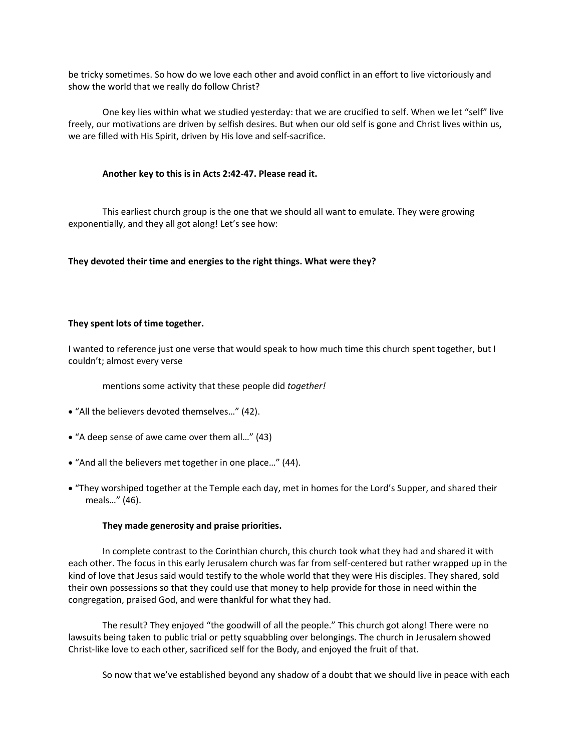be tricky sometimes. So how do we love each other and avoid conflict in an effort to live victoriously and show the world that we really do follow Christ?

One key lies within what we studied yesterday: that we are crucified to self. When we let "self" live freely, our motivations are driven by selfish desires. But when our old self is gone and Christ lives within us, we are filled with His Spirit, driven by His love and self-sacrifice.

#### **Another key to this is in Acts 2:42-47. Please read it.**

This earliest church group is the one that we should all want to emulate. They were growing exponentially, and they all got along! Let's see how:

#### **They devoted their time and energies to the right things. What were they?**

#### **They spent lots of time together.**

I wanted to reference just one verse that would speak to how much time this church spent together, but I couldn't; almost every verse

mentions some activity that these people did *together!*

- "All the believers devoted themselves…" (42).
- "A deep sense of awe came over them all…" (43)
- "And all the believers met together in one place…" (44).
- "They worshiped together at the Temple each day, met in homes for the Lord's Supper, and shared their meals…" (46).

#### **They made generosity and praise priorities.**

In complete contrast to the Corinthian church, this church took what they had and shared it with each other. The focus in this early Jerusalem church was far from self-centered but rather wrapped up in the kind of love that Jesus said would testify to the whole world that they were His disciples. They shared, sold their own possessions so that they could use that money to help provide for those in need within the congregation, praised God, and were thankful for what they had.

The result? They enjoyed "the goodwill of all the people." This church got along! There were no lawsuits being taken to public trial or petty squabbling over belongings. The church in Jerusalem showed Christ-like love to each other, sacrificed self for the Body, and enjoyed the fruit of that.

So now that we've established beyond any shadow of a doubt that we should live in peace with each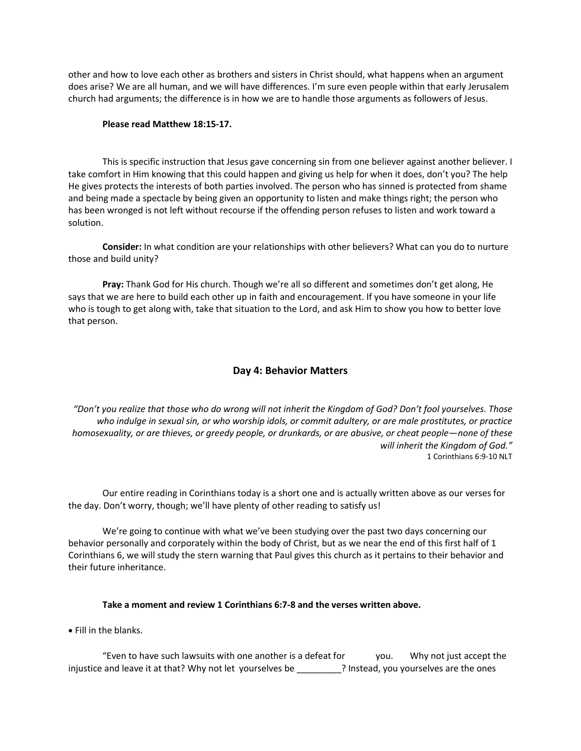other and how to love each other as brothers and sisters in Christ should, what happens when an argument does arise? We are all human, and we will have differences. I'm sure even people within that early Jerusalem church had arguments; the difference is in how we are to handle those arguments as followers of Jesus.

#### **Please read Matthew 18:15-17.**

This is specific instruction that Jesus gave concerning sin from one believer against another believer. I take comfort in Him knowing that this could happen and giving us help for when it does, don't you? The help He gives protects the interests of both parties involved. The person who has sinned is protected from shame and being made a spectacle by being given an opportunity to listen and make things right; the person who has been wronged is not left without recourse if the offending person refuses to listen and work toward a solution.

**Consider:** In what condition are your relationships with other believers? What can you do to nurture those and build unity?

**Pray:** Thank God for His church. Though we're all so different and sometimes don't get along, He says that we are here to build each other up in faith and encouragement. If you have someone in your life who is tough to get along with, take that situation to the Lord, and ask Him to show you how to better love that person.

# **Day 4: Behavior Matters**

*"Don't you realize that those who do wrong will not inherit the Kingdom of God? Don't fool yourselves. Those who indulge in sexual sin, or who worship idols, or commit adultery, or are male prostitutes, or practice homosexuality, or are thieves, or greedy people, or drunkards, or are abusive, or cheat people—none of these will inherit the Kingdom of God."* 1 Corinthians 6:9-10 NLT

Our entire reading in Corinthians today is a short one and is actually written above as our verses for the day. Don't worry, though; we'll have plenty of other reading to satisfy us!

We're going to continue with what we've been studying over the past two days concerning our behavior personally and corporately within the body of Christ, but as we near the end of this first half of 1 Corinthians 6, we will study the stern warning that Paul gives this church as it pertains to their behavior and their future inheritance.

# **Take a moment and review 1 Corinthians 6:7-8 and the verses written above.**

• Fill in the blanks.

"Even to have such lawsuits with one another is a defeat for you. Why not just accept the injustice and leave it at that? Why not let yourselves be **which instead, you yourselves are the ones**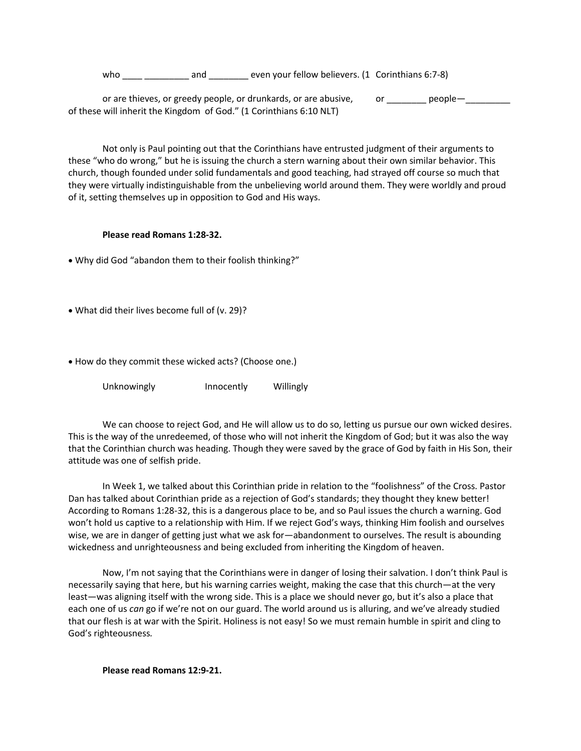who and even your fellow believers. (1 Corinthians 6:7-8)

or are thieves, or greedy people, or drunkards, or are abusive, or \_\_\_\_\_\_\_ people-\_\_\_\_\_\_\_ of these will inherit the Kingdom of God." (1 Corinthians 6:10 NLT)

Not only is Paul pointing out that the Corinthians have entrusted judgment of their arguments to these "who do wrong," but he is issuing the church a stern warning about their own similar behavior. This church, though founded under solid fundamentals and good teaching, had strayed off course so much that they were virtually indistinguishable from the unbelieving world around them. They were worldly and proud of it, setting themselves up in opposition to God and His ways.

#### **Please read Romans 1:28-32.**

• Why did God "abandon them to their foolish thinking?"

• What did their lives become full of (v. 29)?

• How do they commit these wicked acts? (Choose one.)

Unknowingly **Innocently** Willingly

We can choose to reject God, and He will allow us to do so, letting us pursue our own wicked desires. This is the way of the unredeemed, of those who will not inherit the Kingdom of God; but it was also the way that the Corinthian church was heading. Though they were saved by the grace of God by faith in His Son, their attitude was one of selfish pride.

In Week 1, we talked about this Corinthian pride in relation to the "foolishness" of the Cross. Pastor Dan has talked about Corinthian pride as a rejection of God's standards; they thought they knew better! According to Romans 1:28-32, this is a dangerous place to be, and so Paul issues the church a warning. God won't hold us captive to a relationship with Him. If we reject God's ways, thinking Him foolish and ourselves wise, we are in danger of getting just what we ask for—abandonment to ourselves. The result is abounding wickedness and unrighteousness and being excluded from inheriting the Kingdom of heaven.

Now, I'm not saying that the Corinthians were in danger of losing their salvation. I don't think Paul is necessarily saying that here, but his warning carries weight, making the case that this church—at the very least—was aligning itself with the wrong side. This is a place we should never go, but it's also a place that each one of us *can* go if we're not on our guard. The world around us is alluring, and we've already studied that our flesh is at war with the Spirit. Holiness is not easy! So we must remain humble in spirit and cling to God's righteousness*.*

**Please read Romans 12:9-21.**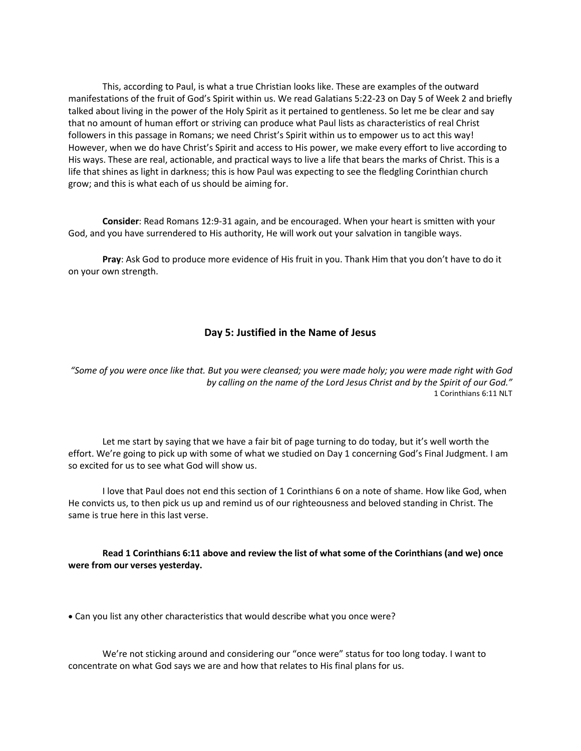This, according to Paul, is what a true Christian looks like. These are examples of the outward manifestations of the fruit of God's Spirit within us. We read Galatians 5:22-23 on Day 5 of Week 2 and briefly talked about living in the power of the Holy Spirit as it pertained to gentleness. So let me be clear and say that no amount of human effort or striving can produce what Paul lists as characteristics of real Christ followers in this passage in Romans; we need Christ's Spirit within us to empower us to act this way! However, when we do have Christ's Spirit and access to His power, we make every effort to live according to His ways. These are real, actionable, and practical ways to live a life that bears the marks of Christ. This is a life that shines as light in darkness; this is how Paul was expecting to see the fledgling Corinthian church grow; and this is what each of us should be aiming for.

**Consider**: Read Romans 12:9-31 again, and be encouraged. When your heart is smitten with your God, and you have surrendered to His authority, He will work out your salvation in tangible ways.

**Pray**: Ask God to produce more evidence of His fruit in you. Thank Him that you don't have to do it on your own strength.

# **Day 5: Justified in the Name of Jesus**

*"Some of you were once like that. But you were cleansed; you were made holy; you were made right with God by calling on the name of the Lord Jesus Christ and by the Spirit of our God."* 1 Corinthians 6:11 NLT

Let me start by saying that we have a fair bit of page turning to do today, but it's well worth the effort. We're going to pick up with some of what we studied on Day 1 concerning God's Final Judgment. I am so excited for us to see what God will show us.

I love that Paul does not end this section of 1 Corinthians 6 on a note of shame. How like God, when He convicts us, to then pick us up and remind us of our righteousness and beloved standing in Christ. The same is true here in this last verse.

#### **Read 1 Corinthians 6:11 above and review the list of what some of the Corinthians (and we) once were from our verses yesterday.**

• Can you list any other characteristics that would describe what you once were?

We're not sticking around and considering our "once were" status for too long today. I want to concentrate on what God says we are and how that relates to His final plans for us.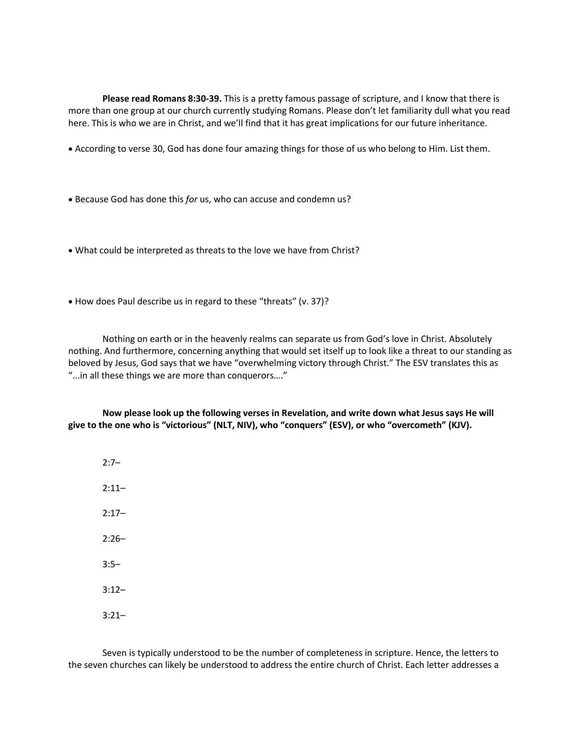**Please read Romans 8:30-39.** This is a pretty famous passage of scripture, and I know that there is more than one group at our church currently studying Romans. Please don't let familiarity dull what you read here. This is who we are in Christ, and we'll find that it has great implications for our future inheritance.

- According to verse 30, God has done four amazing things for those of us who belong to Him. List them.
- Because God has done this *for* us, who can accuse and condemn us?
- What could be interpreted as threats to the love we have from Christ?
- How does Paul describe us in regard to these "threats" (v. 37)?

Nothing on earth or in the heavenly realms can separate us from God's love in Christ. Absolutely nothing. And furthermore, concerning anything that would set itself up to look like a threat to our standing as beloved by Jesus, God says that we have "overwhelming victory through Christ." The ESV translates this as "...in all these things we are more than conquerors…."

**Now please look up the following verses in Revelation, and write down what Jesus says He will give to the one who is "victorious" (NLT, NIV), who "conquers" (ESV), or who "overcometh" (KJV).**

 $2:7-$ 2:11–  $2:17-$ 2:26– 3:5– 3:12– 3:21–

Seven is typically understood to be the number of completeness in scripture. Hence, the letters to the seven churches can likely be understood to address the entire church of Christ. Each letter addresses a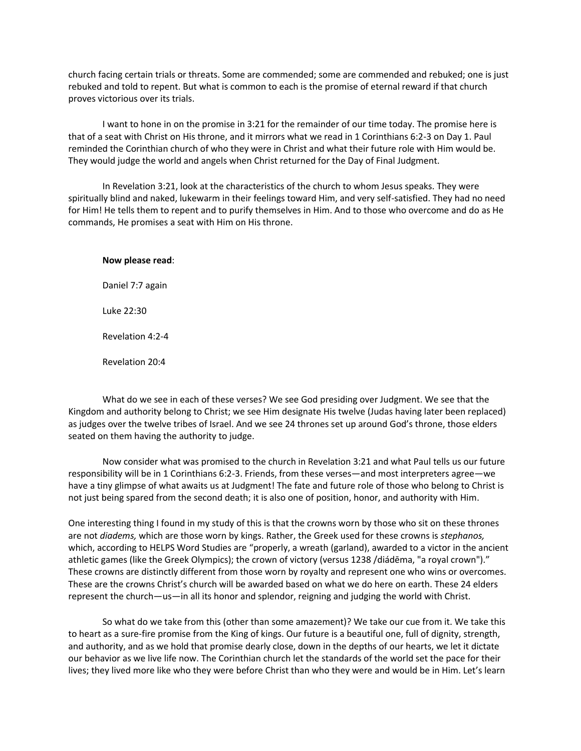church facing certain trials or threats. Some are commended; some are commended and rebuked; one is just rebuked and told to repent. But what is common to each is the promise of eternal reward if that church proves victorious over its trials.

I want to hone in on the promise in 3:21 for the remainder of our time today. The promise here is that of a seat with Christ on His throne, and it mirrors what we read in 1 Corinthians 6:2-3 on Day 1. Paul reminded the Corinthian church of who they were in Christ and what their future role with Him would be. They would judge the world and angels when Christ returned for the Day of Final Judgment.

In Revelation 3:21, look at the characteristics of the church to whom Jesus speaks. They were spiritually blind and naked, lukewarm in their feelings toward Him, and very self-satisfied. They had no need for Him! He tells them to repent and to purify themselves in Him. And to those who overcome and do as He commands, He promises a seat with Him on His throne.

#### **Now please read**:

Daniel 7:7 again Luke 22:30 Revelation 4:2-4

Revelation 20:4

What do we see in each of these verses? We see God presiding over Judgment. We see that the Kingdom and authority belong to Christ; we see Him designate His twelve (Judas having later been replaced) as judges over the twelve tribes of Israel. And we see 24 thrones set up around God's throne, those elders seated on them having the authority to judge.

Now consider what was promised to the church in Revelation 3:21 and what Paul tells us our future responsibility will be in 1 Corinthians 6:2-3. Friends, from these verses—and most interpreters agree—we have a tiny glimpse of what awaits us at Judgment! The fate and future role of those who belong to Christ is not just being spared from the second death; it is also one of position, honor, and authority with Him.

One interesting thing I found in my study of this is that the crowns worn by those who sit on these thrones are not *diadems,* which are those worn by kings. Rather, the Greek used for these crowns is *stephanos,* which, according to HELPS Word Studies are "properly, a wreath (garland), awarded to a victor in the ancient athletic games (like the Greek Olympics); the crown of victory (versus 1238 /diádēma, "a royal crown")." These crowns are distinctly different from those worn by royalty and represent one who wins or overcomes. These are the crowns Christ's church will be awarded based on what we do here on earth. These 24 elders represent the church—us—in all its honor and splendor, reigning and judging the world with Christ.

So what do we take from this (other than some amazement)? We take our cue from it. We take this to heart as a sure-fire promise from the King of kings. Our future is a beautiful one, full of dignity, strength, and authority, and as we hold that promise dearly close, down in the depths of our hearts, we let it dictate our behavior as we live life now. The Corinthian church let the standards of the world set the pace for their lives; they lived more like who they were before Christ than who they were and would be in Him. Let's learn